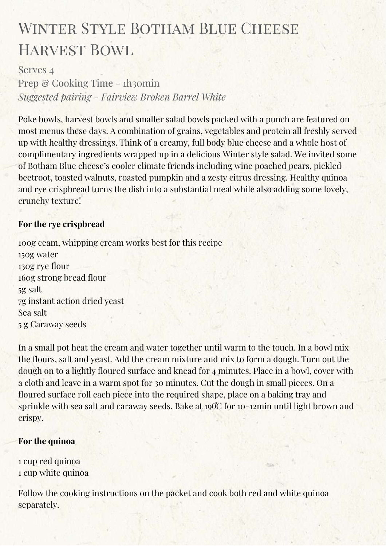# WINTER STYLE BOTHAM BLUE CHEESE HARVEST BOWL

# Serves 4

Prep & Cooking Time - 1h30min *Suggested pairing - Fairview Broken Barrel White*

Poke bowls, harvest bowls and smaller salad bowls packed with a punch are featured on most menus these days. A combination of grains, vegetables and protein all freshly served up with healthy dressings. Think of a creamy, full body blue cheese and a whole host of complimentary ingredients wrapped up in a delicious Winter style salad. We invited some of Botham Blue cheese's cooler climate friends including wine poached pears, pickled beetroot, toasted walnuts, roasted pumpkin and a zesty citrus dressing. Healthy quinoa and rye crispbread turns the dish into a substantial meal while also adding some lovely, crunchy texture!

# **For the rye crispbread**

100g ceam, whipping cream works best for this recipe 150g water 130g rye flour 160g strong bread flour 5g salt 7g instant action dried yeast Sea salt 5 g Caraway seeds

In a small pot heat the cream and water together until warm to the touch. In a bowl mix the flours, salt and yeast. Add the cream mixture and mix to form a dough. Turn out the dough on to a lightly floured surface and knead for 4 minutes. Place in a bowl, cover with a cloth and leave in a warm spot for 30 minutes. Cut the dough in small pieces. On a floured surface roll each piece into the required shape, place on a baking tray and sprinkle with sea salt and caraway seeds. Bake at  $190^{\circ}$  for 10-12min until light brown and crispy.

## **For the quinoa**

1 cup red quinoa 1 cup white quinoa

Follow the cooking instructions on the packet and cook both red and white quinoa separately.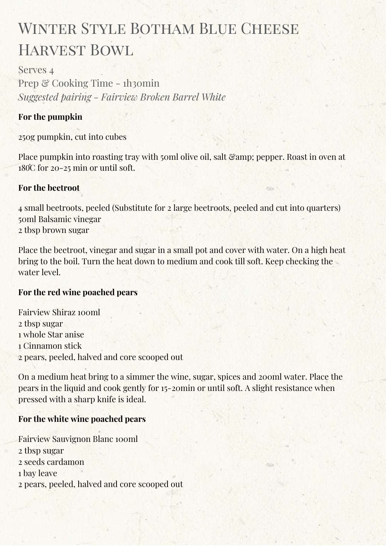# WINTER STYLE BOTHAM BLUE CHEESE Harvest Bowl

Serves 4 Prep & Cooking Time - 1h30min *Suggested pairing - Fairview Broken Barrel White*

## **For the pumpkin**

250g pumpkin, cut into cubes

Place pumpkin into roasting tray with 50ml olive oil, salt  $\mathcal{C}_{amp}$ ; pepper. Roast in oven at  $180^\circ$ C for 20-25 min or until soft.

#### **For the beetroot**

4 small beetroots, peeled (Substitute for 2 large beetroots, peeled and cut into quarters) 50ml Balsamic vinegar 2 tbsp brown sugar

Place the beetroot, vinegar and sugar in a small pot and cover with water. On a high heat bring to the boil. Turn the heat down to medium and cook till soft. Keep checking the water level.

## **For the red wine poached pears**

Fairview Shiraz 100ml tbsp sugar whole Star anise Cinnamon stick pears, peeled, halved and core scooped out

On a medium heat bring to a simmer the wine, sugar, spices and 200ml water. Place the pears in the liquid and cook gently for 15-20min or until soft. A slight resistance when pressed with a sharp knife is ideal.

## **For the white wine poached pears**

Fairview Sauvignon Blanc 100ml tbsp sugar seeds cardamon bay leave pears, peeled, halved and core scooped out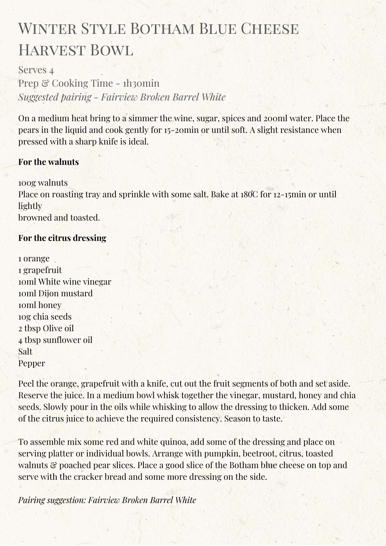# WINTER STYLE BOTHAM BLUE CHEESE Harvest Bowl

Serves 4 Prep & Cooking Time - 1h30min *Suggested pairing - Fairview Broken Barrel White*

On a medium heat bring to a simmer the wine, sugar, spices and 200ml water. Place the pears in the liquid and cook gently for 15-20min or until soft. A slight resistance when pressed with a sharp knife is ideal.

## **For the walnuts**

100g walnuts Place on roasting tray and sprinkle with some salt. Bake at 180°C for 12-15min or until lightly browned and toasted.

#### **For the citrus dressing**

| 1 orange                |  |
|-------------------------|--|
| 1 grapefruit            |  |
| ioml White wine vinegar |  |
| ioml Dijon mustard      |  |
| toml honey              |  |
| 10g chia seeds          |  |
| 2 tbsp Olive oil        |  |
| 4 tbsp sunflower oil    |  |
| Salt                    |  |
| Pepper                  |  |

Peel the orange, grapefruit with a knife, cut out the fruit segments of both and set aside. Reserve the juice. In a medium bowl whisk together the vinegar, mustard, honey and chia seeds. Slowly pour in the oils while whisking to allow the dressing to thicken. Add some of the citrus juice to achieve the required consistency. Season to taste.

To assemble mix some red and white quinoa, add some of the dressing and place on serving platter or individual bowls. Arrange with pumpkin, beetroot, citrus, toasted walnuts & poached pear slices. Place a good slice of the Botham blue cheese on top and serve with the cracker bread and some more dressing on the side.

*Pairing suggestion: Fairview Broken Barrel White*